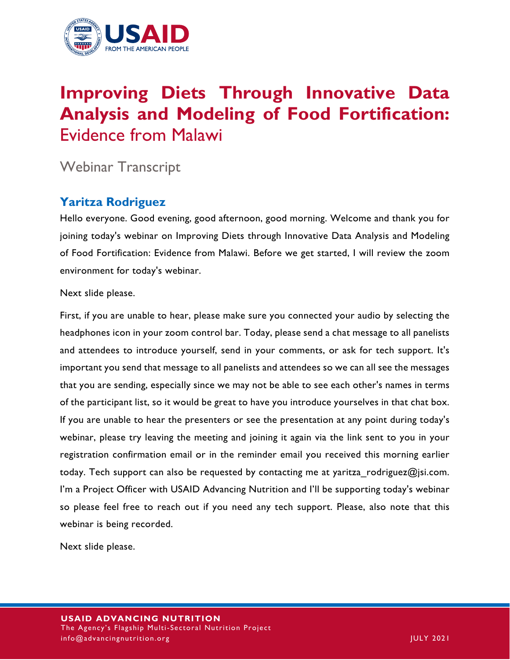

# **Improving Diets Through Innovative Data Analysis and Modeling of Food Fortification:**  Evidence from Malawi

# Webinar Transcript

# **Yaritza Rodriguez**

Hello everyone. Good evening, good afternoon, good morning. Welcome and thank you for joining today's webinar on Improving Diets through Innovative Data Analysis and Modeling of Food Fortification: Evidence from Malawi. Before we get started, I will review the zoom environment for today's webinar.

Next slide please.

First, if you are unable to hear, please make sure you connected your audio by selecting the headphones icon in your zoom control bar. Today, please send a chat message to all panelists and attendees to introduce yourself, send in your comments, or ask for tech support. It's important you send that message to all panelists and attendees so we can all see the messages that you are sending, especially since we may not be able to see each other's names in terms of the participant list, so it would be great to have you introduce yourselves in that chat box. If you are unable to hear the presenters or see the presentation at any point during today's webinar, please try leaving the meeting and joining it again via the link sent to you in your registration confirmation email or in the reminder email you received this morning earlier today. Tech support can also be requested by contacting me at yaritza rodriguez@jsi.com. I'm a Project Officer with USAID Advancing Nutrition and I'll be supporting today's webinar so please feel free to reach out if you need any tech support. Please, also note that this webinar is being recorded.

Next slide please.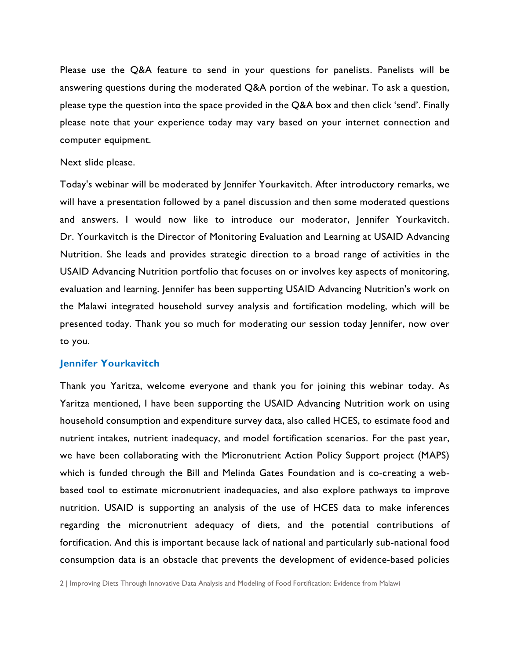Please use the Q&A feature to send in your questions for panelists. Panelists will be answering questions during the moderated Q&A portion of the webinar. To ask a question, please type the question into the space provided in the Q&A box and then click 'send'. Finally please note that your experience today may vary based on your internet connection and computer equipment.

#### Next slide please.

Today's webinar will be moderated by Jennifer Yourkavitch. After introductory remarks, we will have a presentation followed by a panel discussion and then some moderated questions and answers. I would now like to introduce our moderator, Jennifer Yourkavitch. Dr. Yourkavitch is the Director of Monitoring Evaluation and Learning at USAID Advancing Nutrition. She leads and provides strategic direction to a broad range of activities in the USAID Advancing Nutrition portfolio that focuses on or involves key aspects of monitoring, evaluation and learning. Jennifer has been supporting USAID Advancing Nutrition's work on the Malawi integrated household survey analysis and fortification modeling, which will be presented today. Thank you so much for moderating our session today Jennifer, now over to you.

#### **Jennifer Yourkavitch**

Thank you Yaritza, welcome everyone and thank you for joining this webinar today. As Yaritza mentioned, I have been supporting the USAID Advancing Nutrition work on using household consumption and expenditure survey data, also called HCES, to estimate food and nutrient intakes, nutrient inadequacy, and model fortification scenarios. For the past year, we have been collaborating with the Micronutrient Action Policy Support project (MAPS) which is funded through the Bill and Melinda Gates Foundation and is co-creating a webbased tool to estimate micronutrient inadequacies, and also explore pathways to improve nutrition. USAID is supporting an analysis of the use of HCES data to make inferences regarding the micronutrient adequacy of diets, and the potential contributions of fortification. And this is important because lack of national and particularly sub-national food consumption data is an obstacle that prevents the development of evidence-based policies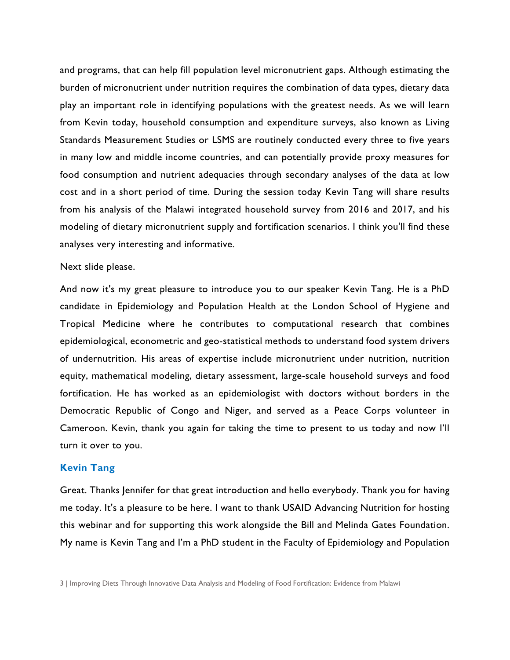and programs, that can help fill population level micronutrient gaps. Although estimating the burden of micronutrient under nutrition requires the combination of data types, dietary data play an important role in identifying populations with the greatest needs. As we will learn from Kevin today, household consumption and expenditure surveys, also known as Living Standards Measurement Studies or LSMS are routinely conducted every three to five years in many low and middle income countries, and can potentially provide proxy measures for food consumption and nutrient adequacies through secondary analyses of the data at low cost and in a short period of time. During the session today Kevin Tang will share results from his analysis of the Malawi integrated household survey from 2016 and 2017, and his modeling of dietary micronutrient supply and fortification scenarios. I think you'll find these analyses very interesting and informative.

#### Next slide please.

And now it's my great pleasure to introduce you to our speaker Kevin Tang. He is a PhD candidate in Epidemiology and Population Health at the London School of Hygiene and Tropical Medicine where he contributes to computational research that combines epidemiological, econometric and geo-statistical methods to understand food system drivers of undernutrition. His areas of expertise include micronutrient under nutrition, nutrition equity, mathematical modeling, dietary assessment, large-scale household surveys and food fortification. He has worked as an epidemiologist with doctors without borders in the Democratic Republic of Congo and Niger, and served as a Peace Corps volunteer in Cameroon. Kevin, thank you again for taking the time to present to us today and now I'll turn it over to you.

# **Kevin Tang**

Great. Thanks Jennifer for that great introduction and hello everybody. Thank you for having me today. It's a pleasure to be here. I want to thank USAID Advancing Nutrition for hosting this webinar and for supporting this work alongside the Bill and Melinda Gates Foundation. My name is Kevin Tang and I'm a PhD student in the Faculty of Epidemiology and Population

<sup>3</sup> | Improving Diets Through Innovative Data Analysis and Modeling of Food Fortification: Evidence from Malawi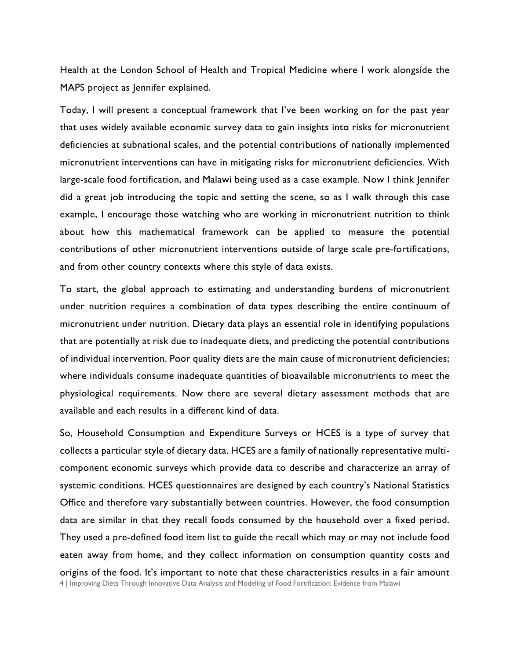Health at the London School of Health and Tropical Medicine where I work alongside the MAPS project as Jennifer explained.

Today, I will present a conceptual framework that I've been working on for the past year that uses widely available economic survey data to gain insights into risks for micronutrient deficiencies at subnational scales, and the potential contributions of nationally implemented micronutrient interventions can have in mitigating risks for micronutrient deficiencies. With large-scale food fortification, and Malawi being used as a case example. Now I think Jennifer did a great job introducing the topic and setting the scene, so as I walk through this case example, I encourage those watching who are working in micronutrient nutrition to think about how this mathematical framework can be applied to measure the potential contributions of other micronutrient interventions outside of large scale pre-fortifications, and from other country contexts where this style of data exists.

To start, the global approach to estimating and understanding burdens of micronutrient under nutrition requires a combination of data types describing the entire continuum of micronutrient under nutrition. Dietary data plays an essential role in identifying populations that are potentially at risk due to inadequate diets, and predicting the potential contributions of individual intervention. Poor quality diets are the main cause of micronutrient deficiencies; where individuals consume inadequate quantities of bioavailable micronutrients to meet the physiological requirements. Now there are several dietary assessment methods that are available and each results in a different kind of data.

4 | Improving Diets Through Innovative Data Analysis and Modeling of Food Fortification: Evidence from Malawi So, Household Consumption and Expenditure Surveys or HCES is a type of survey that collects a particular style of dietary data. HCES are a family of nationally representative multicomponent economic surveys which provide data to describe and characterize an array of systemic conditions. HCES questionnaires are designed by each country's National Statistics Office and therefore vary substantially between countries. However, the food consumption data are similar in that they recall foods consumed by the household over a fixed period. They used a pre-defined food item list to guide the recall which may or may not include food eaten away from home, and they collect information on consumption quantity costs and origins of the food. It's important to note that these characteristics results in a fair amount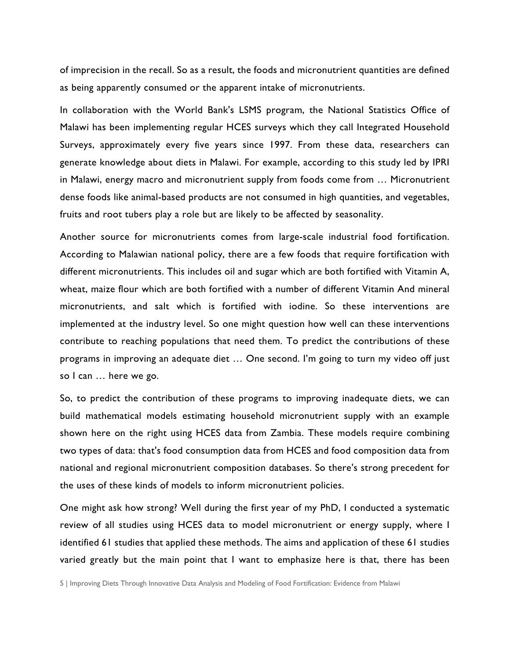of imprecision in the recall. So as a result, the foods and micronutrient quantities are defined as being apparently consumed or the apparent intake of micronutrients.

In collaboration with the World Bank's LSMS program, the National Statistics Office of Malawi has been implementing regular HCES surveys which they call Integrated Household Surveys, approximately every five years since 1997. From these data, researchers can generate knowledge about diets in Malawi. For example, according to this study led by IPRI in Malawi, energy macro and micronutrient supply from foods come from … Micronutrient dense foods like animal-based products are not consumed in high quantities, and vegetables, fruits and root tubers play a role but are likely to be affected by seasonality.

Another source for micronutrients comes from large-scale industrial food fortification. According to Malawian national policy, there are a few foods that require fortification with different micronutrients. This includes oil and sugar which are both fortified with Vitamin A, wheat, maize flour which are both fortified with a number of different Vitamin And mineral micronutrients, and salt which is fortified with iodine. So these interventions are implemented at the industry level. So one might question how well can these interventions contribute to reaching populations that need them. To predict the contributions of these programs in improving an adequate diet … One second. I'm going to turn my video off just so I can … here we go.

So, to predict the contribution of these programs to improving inadequate diets, we can build mathematical models estimating household micronutrient supply with an example shown here on the right using HCES data from Zambia. These models require combining two types of data: that's food consumption data from HCES and food composition data from national and regional micronutrient composition databases. So there's strong precedent for the uses of these kinds of models to inform micronutrient policies.

One might ask how strong? Well during the first year of my PhD, I conducted a systematic review of all studies using HCES data to model micronutrient or energy supply, where I identified 61 studies that applied these methods. The aims and application of these 61 studies varied greatly but the main point that I want to emphasize here is that, there has been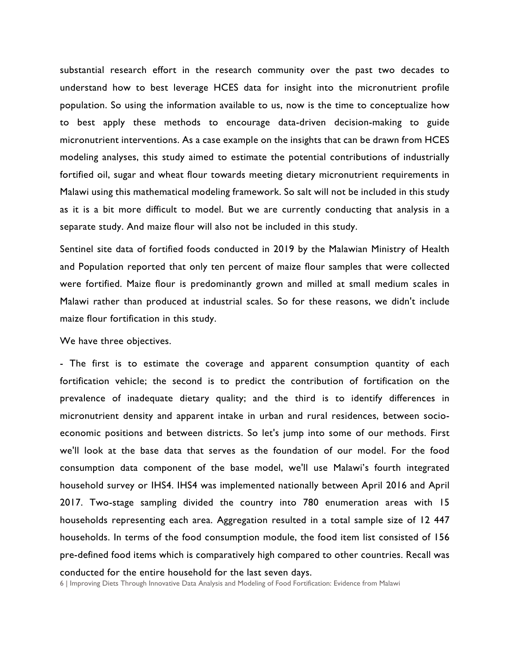substantial research effort in the research community over the past two decades to understand how to best leverage HCES data for insight into the micronutrient profile population. So using the information available to us, now is the time to conceptualize how to best apply these methods to encourage data-driven decision-making to guide micronutrient interventions. As a case example on the insights that can be drawn from HCES modeling analyses, this study aimed to estimate the potential contributions of industrially fortified oil, sugar and wheat flour towards meeting dietary micronutrient requirements in Malawi using this mathematical modeling framework. So salt will not be included in this study as it is a bit more difficult to model. But we are currently conducting that analysis in a separate study. And maize flour will also not be included in this study.

Sentinel site data of fortified foods conducted in 2019 by the Malawian Ministry of Health and Population reported that only ten percent of maize flour samples that were collected were fortified. Maize flour is predominantly grown and milled at small medium scales in Malawi rather than produced at industrial scales. So for these reasons, we didn't include maize flour fortification in this study.

#### We have three objectives.

- The first is to estimate the coverage and apparent consumption quantity of each fortification vehicle; the second is to predict the contribution of fortification on the prevalence of inadequate dietary quality; and the third is to identify differences in micronutrient density and apparent intake in urban and rural residences, between socioeconomic positions and between districts. So let's jump into some of our methods. First we'll look at the base data that serves as the foundation of our model. For the food consumption data component of the base model, we'll use Malawi's fourth integrated household survey or IHS4. IHS4 was implemented nationally between April 2016 and April 2017. Two-stage sampling divided the country into 780 enumeration areas with 15 households representing each area. Aggregation resulted in a total sample size of 12 447 households. In terms of the food consumption module, the food item list consisted of 156 pre-defined food items which is comparatively high compared to other countries. Recall was conducted for the entire household for the last seven days.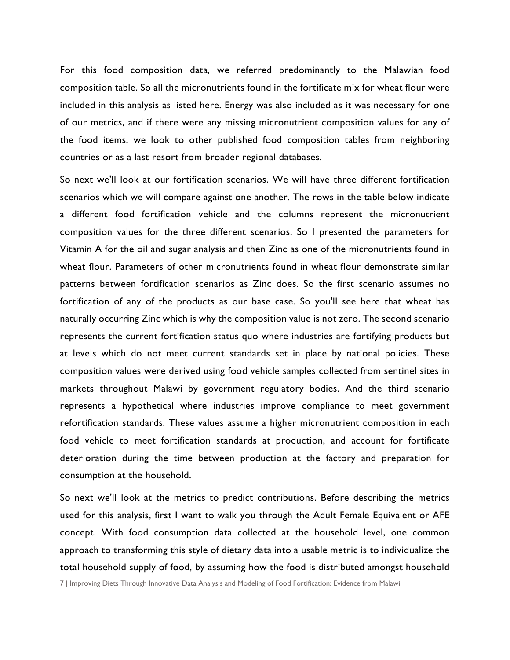For this food composition data, we referred predominantly to the Malawian food composition table. So all the micronutrients found in the fortificate mix for wheat flour were included in this analysis as listed here. Energy was also included as it was necessary for one of our metrics, and if there were any missing micronutrient composition values for any of the food items, we look to other published food composition tables from neighboring countries or as a last resort from broader regional databases.

So next we'll look at our fortification scenarios. We will have three different fortification scenarios which we will compare against one another. The rows in the table below indicate a different food fortification vehicle and the columns represent the micronutrient composition values for the three different scenarios. So I presented the parameters for Vitamin A for the oil and sugar analysis and then Zinc as one of the micronutrients found in wheat flour. Parameters of other micronutrients found in wheat flour demonstrate similar patterns between fortification scenarios as Zinc does. So the first scenario assumes no fortification of any of the products as our base case. So you'll see here that wheat has naturally occurring Zinc which is why the composition value is not zero. The second scenario represents the current fortification status quo where industries are fortifying products but at levels which do not meet current standards set in place by national policies. These composition values were derived using food vehicle samples collected from sentinel sites in markets throughout Malawi by government regulatory bodies. And the third scenario represents a hypothetical where industries improve compliance to meet government refortification standards. These values assume a higher micronutrient composition in each food vehicle to meet fortification standards at production, and account for fortificate deterioration during the time between production at the factory and preparation for consumption at the household.

So next we'll look at the metrics to predict contributions. Before describing the metrics used for this analysis, first I want to walk you through the Adult Female Equivalent or AFE concept. With food consumption data collected at the household level, one common approach to transforming this style of dietary data into a usable metric is to individualize the total household supply of food, by assuming how the food is distributed amongst household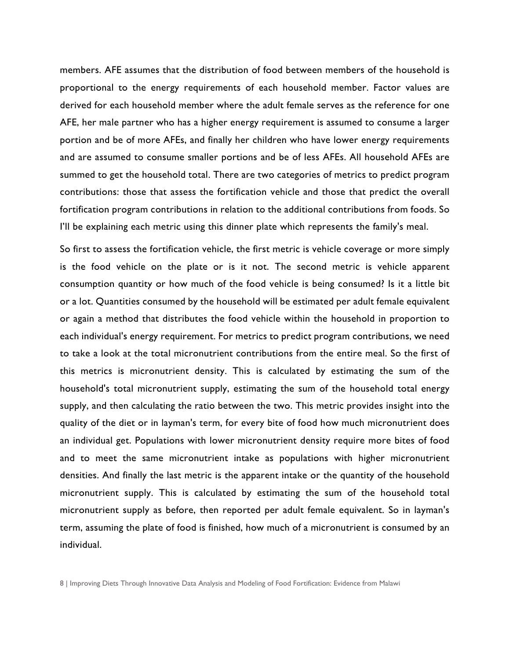members. AFE assumes that the distribution of food between members of the household is proportional to the energy requirements of each household member. Factor values are derived for each household member where the adult female serves as the reference for one AFE, her male partner who has a higher energy requirement is assumed to consume a larger portion and be of more AFEs, and finally her children who have lower energy requirements and are assumed to consume smaller portions and be of less AFEs. All household AFEs are summed to get the household total. There are two categories of metrics to predict program contributions: those that assess the fortification vehicle and those that predict the overall fortification program contributions in relation to the additional contributions from foods. So I'll be explaining each metric using this dinner plate which represents the family's meal.

So first to assess the fortification vehicle, the first metric is vehicle coverage or more simply is the food vehicle on the plate or is it not. The second metric is vehicle apparent consumption quantity or how much of the food vehicle is being consumed? Is it a little bit or a lot. Quantities consumed by the household will be estimated per adult female equivalent or again a method that distributes the food vehicle within the household in proportion to each individual's energy requirement. For metrics to predict program contributions, we need to take a look at the total micronutrient contributions from the entire meal. So the first of this metrics is micronutrient density. This is calculated by estimating the sum of the household's total micronutrient supply, estimating the sum of the household total energy supply, and then calculating the ratio between the two. This metric provides insight into the quality of the diet or in layman's term, for every bite of food how much micronutrient does an individual get. Populations with lower micronutrient density require more bites of food and to meet the same micronutrient intake as populations with higher micronutrient densities. And finally the last metric is the apparent intake or the quantity of the household micronutrient supply. This is calculated by estimating the sum of the household total micronutrient supply as before, then reported per adult female equivalent. So in layman's term, assuming the plate of food is finished, how much of a micronutrient is consumed by an individual.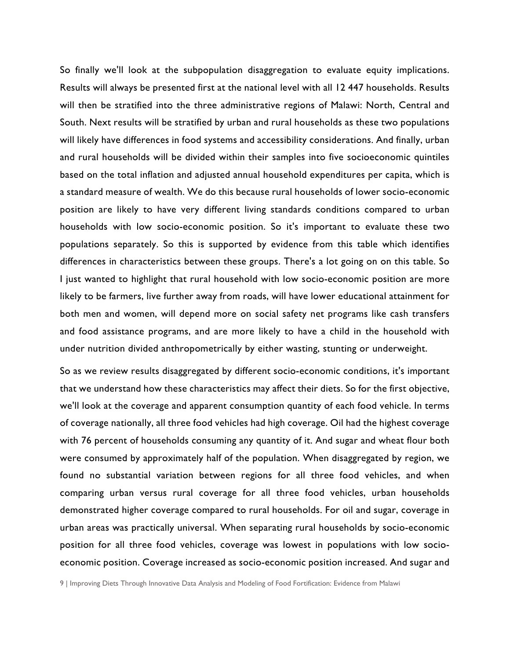So finally we'll look at the subpopulation disaggregation to evaluate equity implications. Results will always be presented first at the national level with all 12 447 households. Results will then be stratified into the three administrative regions of Malawi: North, Central and South. Next results will be stratified by urban and rural households as these two populations will likely have differences in food systems and accessibility considerations. And finally, urban and rural households will be divided within their samples into five socioeconomic quintiles based on the total inflation and adjusted annual household expenditures per capita, which is a standard measure of wealth. We do this because rural households of lower socio-economic position are likely to have very different living standards conditions compared to urban households with low socio-economic position. So it's important to evaluate these two populations separately. So this is supported by evidence from this table which identifies differences in characteristics between these groups. There's a lot going on on this table. So I just wanted to highlight that rural household with low socio-economic position are more likely to be farmers, live further away from roads, will have lower educational attainment for both men and women, will depend more on social safety net programs like cash transfers and food assistance programs, and are more likely to have a child in the household with under nutrition divided anthropometrically by either wasting, stunting or underweight.

So as we review results disaggregated by different socio-economic conditions, it's important that we understand how these characteristics may affect their diets. So for the first objective, we'll look at the coverage and apparent consumption quantity of each food vehicle. In terms of coverage nationally, all three food vehicles had high coverage. Oil had the highest coverage with 76 percent of households consuming any quantity of it. And sugar and wheat flour both were consumed by approximately half of the population. When disaggregated by region, we found no substantial variation between regions for all three food vehicles, and when comparing urban versus rural coverage for all three food vehicles, urban households demonstrated higher coverage compared to rural households. For oil and sugar, coverage in urban areas was practically universal. When separating rural households by socio-economic position for all three food vehicles, coverage was lowest in populations with low socioeconomic position. Coverage increased as socio-economic position increased. And sugar and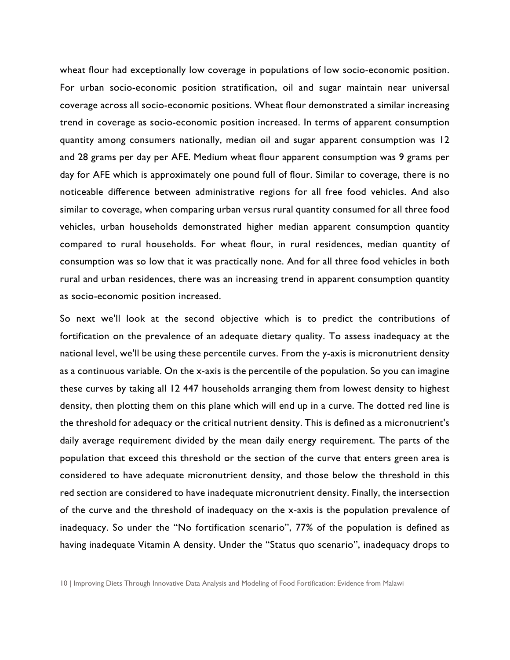wheat flour had exceptionally low coverage in populations of low socio-economic position. For urban socio-economic position stratification, oil and sugar maintain near universal coverage across all socio-economic positions. Wheat flour demonstrated a similar increasing trend in coverage as socio-economic position increased. In terms of apparent consumption quantity among consumers nationally, median oil and sugar apparent consumption was 12 and 28 grams per day per AFE. Medium wheat flour apparent consumption was 9 grams per day for AFE which is approximately one pound full of flour. Similar to coverage, there is no noticeable difference between administrative regions for all free food vehicles. And also similar to coverage, when comparing urban versus rural quantity consumed for all three food vehicles, urban households demonstrated higher median apparent consumption quantity compared to rural households. For wheat flour, in rural residences, median quantity of consumption was so low that it was practically none. And for all three food vehicles in both rural and urban residences, there was an increasing trend in apparent consumption quantity as socio-economic position increased.

So next we'll look at the second objective which is to predict the contributions of fortification on the prevalence of an adequate dietary quality. To assess inadequacy at the national level, we'll be using these percentile curves. From the y-axis is micronutrient density as a continuous variable. On the x-axis is the percentile of the population. So you can imagine these curves by taking all 12 447 households arranging them from lowest density to highest density, then plotting them on this plane which will end up in a curve. The dotted red line is the threshold for adequacy or the critical nutrient density. This is defined as a micronutrient's daily average requirement divided by the mean daily energy requirement. The parts of the population that exceed this threshold or the section of the curve that enters green area is considered to have adequate micronutrient density, and those below the threshold in this red section are considered to have inadequate micronutrient density. Finally, the intersection of the curve and the threshold of inadequacy on the x-axis is the population prevalence of inadequacy. So under the "No fortification scenario", 77% of the population is defined as having inadequate Vitamin A density. Under the "Status quo scenario", inadequacy drops to

<sup>10</sup> | Improving Diets Through Innovative Data Analysis and Modeling of Food Fortification: Evidence from Malawi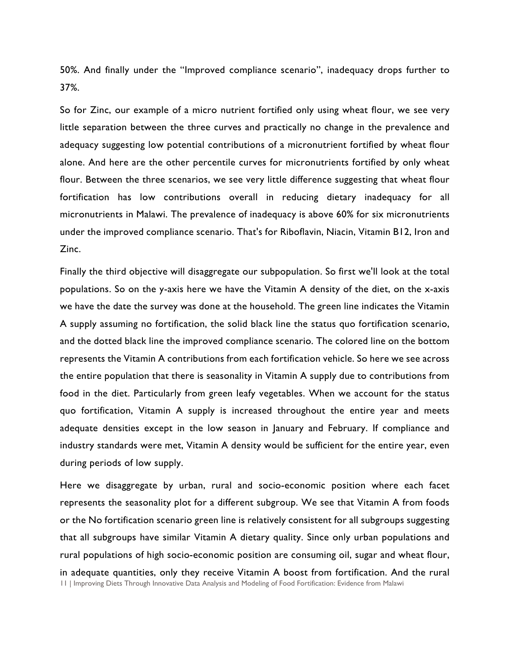50%. And finally under the "Improved compliance scenario", inadequacy drops further to 37%.

So for Zinc, our example of a micro nutrient fortified only using wheat flour, we see very little separation between the three curves and practically no change in the prevalence and adequacy suggesting low potential contributions of a micronutrient fortified by wheat flour alone. And here are the other percentile curves for micronutrients fortified by only wheat flour. Between the three scenarios, we see very little difference suggesting that wheat flour fortification has low contributions overall in reducing dietary inadequacy for all micronutrients in Malawi. The prevalence of inadequacy is above 60% for six micronutrients under the improved compliance scenario. That's for Riboflavin, Niacin, Vitamin B12, Iron and Zinc.

Finally the third objective will disaggregate our subpopulation. So first we'll look at the total populations. So on the y-axis here we have the Vitamin A density of the diet, on the x-axis we have the date the survey was done at the household. The green line indicates the Vitamin A supply assuming no fortification, the solid black line the status quo fortification scenario, and the dotted black line the improved compliance scenario. The colored line on the bottom represents the Vitamin A contributions from each fortification vehicle. So here we see across the entire population that there is seasonality in Vitamin A supply due to contributions from food in the diet. Particularly from green leafy vegetables. When we account for the status quo fortification, Vitamin A supply is increased throughout the entire year and meets adequate densities except in the low season in January and February. If compliance and industry standards were met, Vitamin A density would be sufficient for the entire year, even during periods of low supply.

11 | Improving Diets Through Innovative Data Analysis and Modeling of Food Fortification: Evidence from Malawi Here we disaggregate by urban, rural and socio-economic position where each facet represents the seasonality plot for a different subgroup. We see that Vitamin A from foods or the No fortification scenario green line is relatively consistent for all subgroups suggesting that all subgroups have similar Vitamin A dietary quality. Since only urban populations and rural populations of high socio-economic position are consuming oil, sugar and wheat flour, in adequate quantities, only they receive Vitamin A boost from fortification. And the rural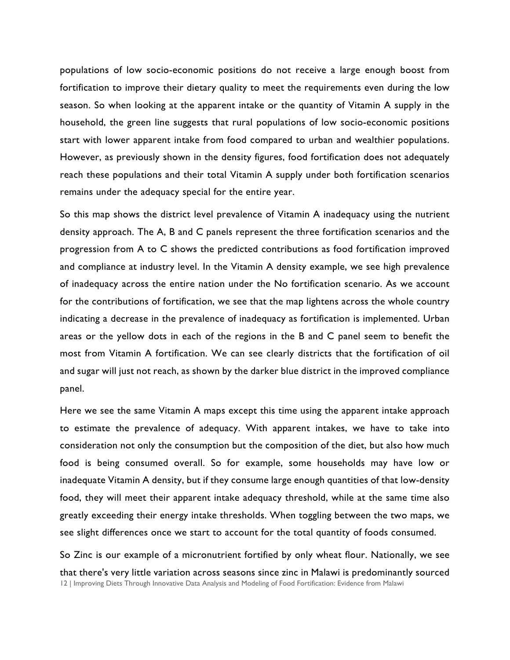populations of low socio-economic positions do not receive a large enough boost from fortification to improve their dietary quality to meet the requirements even during the low season. So when looking at the apparent intake or the quantity of Vitamin A supply in the household, the green line suggests that rural populations of low socio-economic positions start with lower apparent intake from food compared to urban and wealthier populations. However, as previously shown in the density figures, food fortification does not adequately reach these populations and their total Vitamin A supply under both fortification scenarios remains under the adequacy special for the entire year.

So this map shows the district level prevalence of Vitamin A inadequacy using the nutrient density approach. The A, B and C panels represent the three fortification scenarios and the progression from A to C shows the predicted contributions as food fortification improved and compliance at industry level. In the Vitamin A density example, we see high prevalence of inadequacy across the entire nation under the No fortification scenario. As we account for the contributions of fortification, we see that the map lightens across the whole country indicating a decrease in the prevalence of inadequacy as fortification is implemented. Urban areas or the yellow dots in each of the regions in the B and C panel seem to benefit the most from Vitamin A fortification. We can see clearly districts that the fortification of oil and sugar will just not reach, as shown by the darker blue district in the improved compliance panel.

Here we see the same Vitamin A maps except this time using the apparent intake approach to estimate the prevalence of adequacy. With apparent intakes, we have to take into consideration not only the consumption but the composition of the diet, but also how much food is being consumed overall. So for example, some households may have low or inadequate Vitamin A density, but if they consume large enough quantities of that low-density food, they will meet their apparent intake adequacy threshold, while at the same time also greatly exceeding their energy intake thresholds. When toggling between the two maps, we see slight differences once we start to account for the total quantity of foods consumed.

12 | Improving Diets Through Innovative Data Analysis and Modeling of Food Fortification: Evidence from Malawi So Zinc is our example of a micronutrient fortified by only wheat flour. Nationally, we see that there's very little variation across seasons since zinc in Malawi is predominantly sourced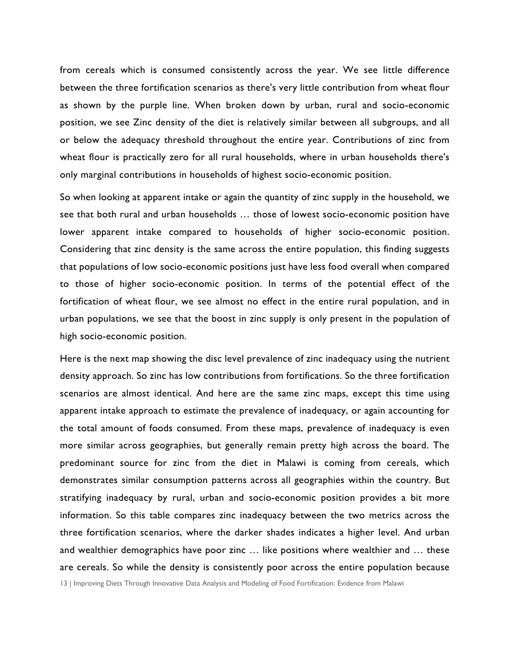from cereals which is consumed consistently across the year. We see little difference between the three fortification scenarios as there's very little contribution from wheat flour as shown by the purple line. When broken down by urban, rural and socio-economic position, we see Zinc density of the diet is relatively similar between all subgroups, and all or below the adequacy threshold throughout the entire year. Contributions of zinc from wheat flour is practically zero for all rural households, where in urban households there's only marginal contributions in households of highest socio-economic position.

So when looking at apparent intake or again the quantity of zinc supply in the household, we see that both rural and urban households … those of lowest socio-economic position have lower apparent intake compared to households of higher socio-economic position. Considering that zinc density is the same across the entire population, this finding suggests that populations of low socio-economic positions just have less food overall when compared to those of higher socio-economic position. In terms of the potential effect of the fortification of wheat flour, we see almost no effect in the entire rural population, and in urban populations, we see that the boost in zinc supply is only present in the population of high socio-economic position.

Here is the next map showing the disc level prevalence of zinc inadequacy using the nutrient density approach. So zinc has low contributions from fortifications. So the three fortification scenarios are almost identical. And here are the same zinc maps, except this time using apparent intake approach to estimate the prevalence of inadequacy, or again accounting for the total amount of foods consumed. From these maps, prevalence of inadequacy is even more similar across geographies, but generally remain pretty high across the board. The predominant source for zinc from the diet in Malawi is coming from cereals, which demonstrates similar consumption patterns across all geographies within the country. But stratifying inadequacy by rural, urban and socio-economic position provides a bit more information. So this table compares zinc inadequacy between the two metrics across the three fortification scenarios, where the darker shades indicates a higher level. And urban and wealthier demographics have poor zinc … like positions where wealthier and … these are cereals. So while the density is consistently poor across the entire population because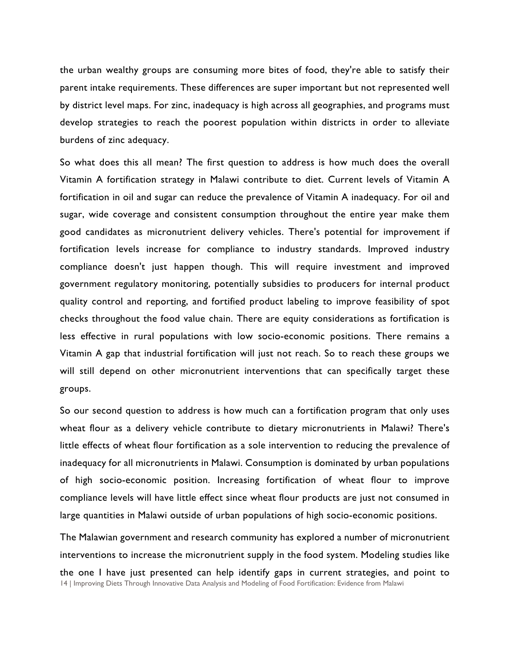the urban wealthy groups are consuming more bites of food, they're able to satisfy their parent intake requirements. These differences are super important but not represented well by district level maps. For zinc, inadequacy is high across all geographies, and programs must develop strategies to reach the poorest population within districts in order to alleviate burdens of zinc adequacy.

So what does this all mean? The first question to address is how much does the overall Vitamin A fortification strategy in Malawi contribute to diet. Current levels of Vitamin A fortification in oil and sugar can reduce the prevalence of Vitamin A inadequacy. For oil and sugar, wide coverage and consistent consumption throughout the entire year make them good candidates as micronutrient delivery vehicles. There's potential for improvement if fortification levels increase for compliance to industry standards. Improved industry compliance doesn't just happen though. This will require investment and improved government regulatory monitoring, potentially subsidies to producers for internal product quality control and reporting, and fortified product labeling to improve feasibility of spot checks throughout the food value chain. There are equity considerations as fortification is less effective in rural populations with low socio-economic positions. There remains a Vitamin A gap that industrial fortification will just not reach. So to reach these groups we will still depend on other micronutrient interventions that can specifically target these groups.

So our second question to address is how much can a fortification program that only uses wheat flour as a delivery vehicle contribute to dietary micronutrients in Malawi? There's little effects of wheat flour fortification as a sole intervention to reducing the prevalence of inadequacy for all micronutrients in Malawi. Consumption is dominated by urban populations of high socio-economic position. Increasing fortification of wheat flour to improve compliance levels will have little effect since wheat flour products are just not consumed in large quantities in Malawi outside of urban populations of high socio-economic positions.

14 | Improving Diets Through Innovative Data Analysis and Modeling of Food Fortification: Evidence from Malawi The Malawian government and research community has explored a number of micronutrient interventions to increase the micronutrient supply in the food system. Modeling studies like the one I have just presented can help identify gaps in current strategies, and point to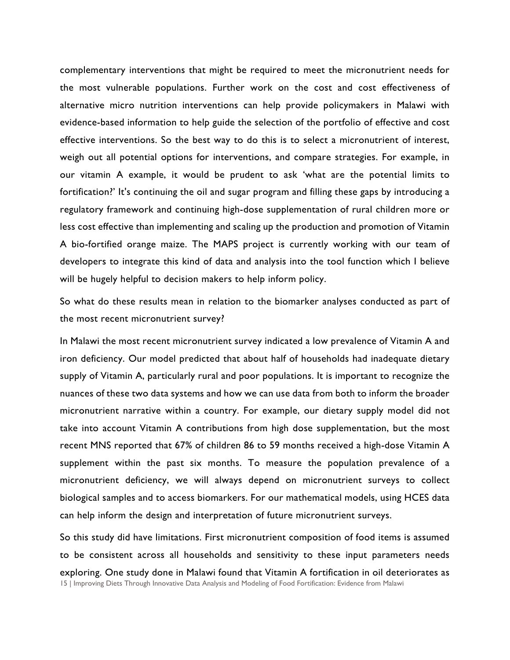complementary interventions that might be required to meet the micronutrient needs for the most vulnerable populations. Further work on the cost and cost effectiveness of alternative micro nutrition interventions can help provide policymakers in Malawi with evidence-based information to help guide the selection of the portfolio of effective and cost effective interventions. So the best way to do this is to select a micronutrient of interest, weigh out all potential options for interventions, and compare strategies. For example, in our vitamin A example, it would be prudent to ask 'what are the potential limits to fortification?' It's continuing the oil and sugar program and filling these gaps by introducing a regulatory framework and continuing high-dose supplementation of rural children more or less cost effective than implementing and scaling up the production and promotion of Vitamin A bio-fortified orange maize. The MAPS project is currently working with our team of developers to integrate this kind of data and analysis into the tool function which I believe will be hugely helpful to decision makers to help inform policy.

So what do these results mean in relation to the biomarker analyses conducted as part of the most recent micronutrient survey?

In Malawi the most recent micronutrient survey indicated a low prevalence of Vitamin A and iron deficiency. Our model predicted that about half of households had inadequate dietary supply of Vitamin A, particularly rural and poor populations. It is important to recognize the nuances of these two data systems and how we can use data from both to inform the broader micronutrient narrative within a country. For example, our dietary supply model did not take into account Vitamin A contributions from high dose supplementation, but the most recent MNS reported that 67% of children 86 to 59 months received a high-dose Vitamin A supplement within the past six months. To measure the population prevalence of a micronutrient deficiency, we will always depend on micronutrient surveys to collect biological samples and to access biomarkers. For our mathematical models, using HCES data can help inform the design and interpretation of future micronutrient surveys.

15 | Improving Diets Through Innovative Data Analysis and Modeling of Food Fortification: Evidence from Malawi So this study did have limitations. First micronutrient composition of food items is assumed to be consistent across all households and sensitivity to these input parameters needs exploring. One study done in Malawi found that Vitamin A fortification in oil deteriorates as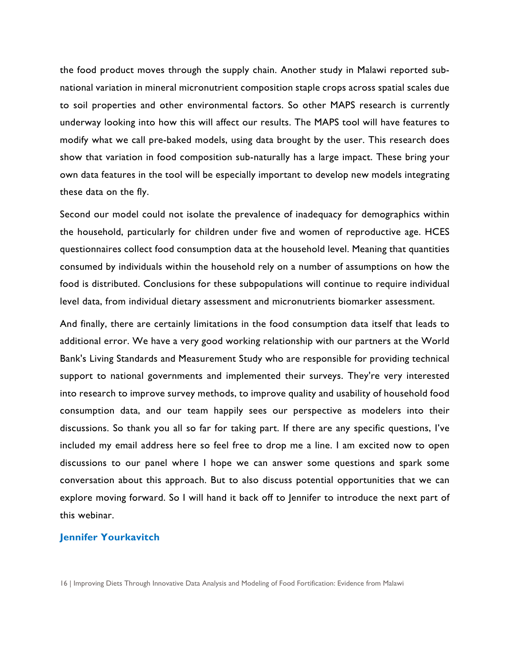the food product moves through the supply chain. Another study in Malawi reported subnational variation in mineral micronutrient composition staple crops across spatial scales due to soil properties and other environmental factors. So other MAPS research is currently underway looking into how this will affect our results. The MAPS tool will have features to modify what we call pre-baked models, using data brought by the user. This research does show that variation in food composition sub-naturally has a large impact. These bring your own data features in the tool will be especially important to develop new models integrating these data on the fly.

Second our model could not isolate the prevalence of inadequacy for demographics within the household, particularly for children under five and women of reproductive age. HCES questionnaires collect food consumption data at the household level. Meaning that quantities consumed by individuals within the household rely on a number of assumptions on how the food is distributed. Conclusions for these subpopulations will continue to require individual level data, from individual dietary assessment and micronutrients biomarker assessment.

And finally, there are certainly limitations in the food consumption data itself that leads to additional error. We have a very good working relationship with our partners at the World Bank's Living Standards and Measurement Study who are responsible for providing technical support to national governments and implemented their surveys. They're very interested into research to improve survey methods, to improve quality and usability of household food consumption data, and our team happily sees our perspective as modelers into their discussions. So thank you all so far for taking part. If there are any specific questions, I've included my email address here so feel free to drop me a line. I am excited now to open discussions to our panel where I hope we can answer some questions and spark some conversation about this approach. But to also discuss potential opportunities that we can explore moving forward. So I will hand it back off to Jennifer to introduce the next part of this webinar.

# **Jennifer Yourkavitch**

<sup>16</sup> | Improving Diets Through Innovative Data Analysis and Modeling of Food Fortification: Evidence from Malawi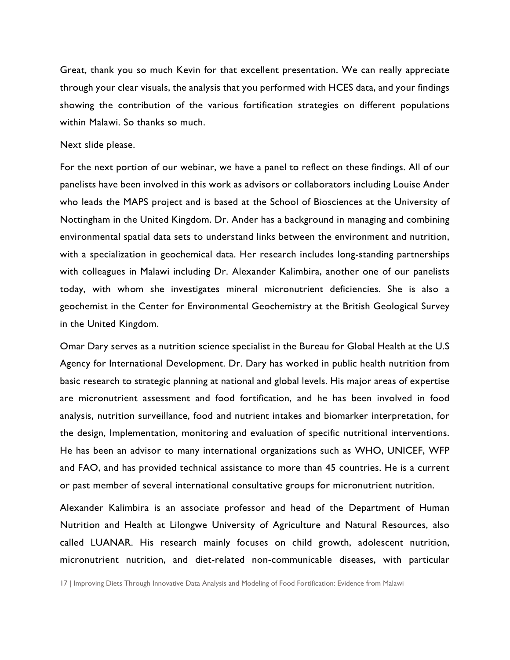Great, thank you so much Kevin for that excellent presentation. We can really appreciate through your clear visuals, the analysis that you performed with HCES data, and your findings showing the contribution of the various fortification strategies on different populations within Malawi. So thanks so much.

#### Next slide please.

For the next portion of our webinar, we have a panel to reflect on these findings. All of our panelists have been involved in this work as advisors or collaborators including Louise Ander who leads the MAPS project and is based at the School of Biosciences at the University of Nottingham in the United Kingdom. Dr. Ander has a background in managing and combining environmental spatial data sets to understand links between the environment and nutrition, with a specialization in geochemical data. Her research includes long-standing partnerships with colleagues in Malawi including Dr. Alexander Kalimbira, another one of our panelists today, with whom she investigates mineral micronutrient deficiencies. She is also a geochemist in the Center for Environmental Geochemistry at the British Geological Survey in the United Kingdom.

Omar Dary serves as a nutrition science specialist in the Bureau for Global Health at the U.S Agency for International Development. Dr. Dary has worked in public health nutrition from basic research to strategic planning at national and global levels. His major areas of expertise are micronutrient assessment and food fortification, and he has been involved in food analysis, nutrition surveillance, food and nutrient intakes and biomarker interpretation, for the design, Implementation, monitoring and evaluation of specific nutritional interventions. He has been an advisor to many international organizations such as WHO, UNICEF, WFP and FAO, and has provided technical assistance to more than 45 countries. He is a current or past member of several international consultative groups for micronutrient nutrition.

Alexander Kalimbira is an associate professor and head of the Department of Human Nutrition and Health at Lilongwe University of Agriculture and Natural Resources, also called LUANAR. His research mainly focuses on child growth, adolescent nutrition, micronutrient nutrition, and diet-related non-communicable diseases, with particular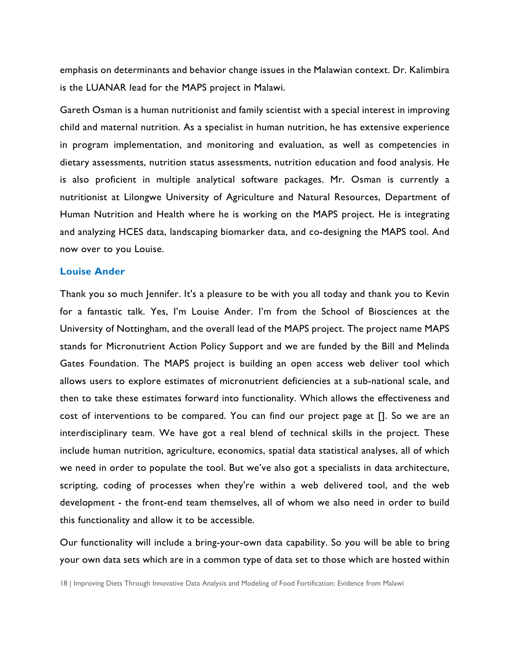emphasis on determinants and behavior change issues in the Malawian context. Dr. Kalimbira is the LUANAR lead for the MAPS project in Malawi.

Gareth Osman is a human nutritionist and family scientist with a special interest in improving child and maternal nutrition. As a specialist in human nutrition, he has extensive experience in program implementation, and monitoring and evaluation, as well as competencies in dietary assessments, nutrition status assessments, nutrition education and food analysis. He is also proficient in multiple analytical software packages. Mr. Osman is currently a nutritionist at Lilongwe University of Agriculture and Natural Resources, Department of Human Nutrition and Health where he is working on the MAPS project. He is integrating and analyzing HCES data, landscaping biomarker data, and co-designing the MAPS tool. And now over to you Louise.

# **Louise Ander**

Thank you so much Jennifer. It's a pleasure to be with you all today and thank you to Kevin for a fantastic talk. Yes, I'm Louise Ander. I'm from the School of Biosciences at the University of Nottingham, and the overall lead of the MAPS project. The project name MAPS stands for Micronutrient Action Policy Support and we are funded by the Bill and Melinda Gates Foundation. The MAPS project is building an open access web deliver tool which allows users to explore estimates of micronutrient deficiencies at a sub-national scale, and then to take these estimates forward into functionality. Which allows the effectiveness and cost of interventions to be compared. You can find our project page at []. So we are an interdisciplinary team. We have got a real blend of technical skills in the project. These include human nutrition, agriculture, economics, spatial data statistical analyses, all of which we need in order to populate the tool. But we've also got a specialists in data architecture, scripting, coding of processes when they're within a web delivered tool, and the web development - the front-end team themselves, all of whom we also need in order to build this functionality and allow it to be accessible.

Our functionality will include a bring-your-own data capability. So you will be able to bring your own data sets which are in a common type of data set to those which are hosted within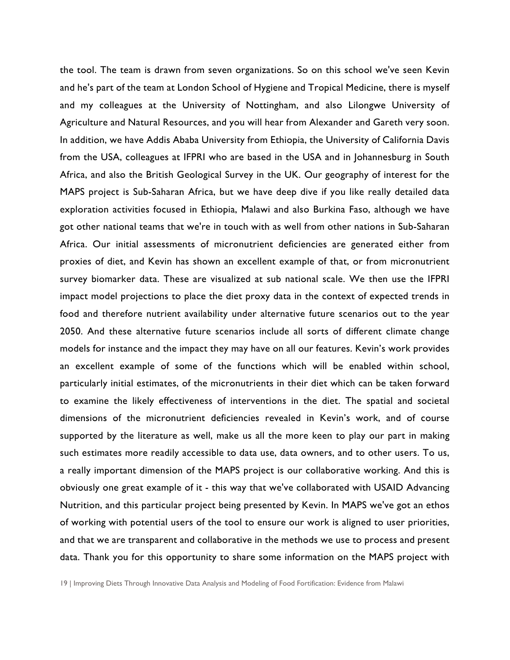the tool. The team is drawn from seven organizations. So on this school we've seen Kevin and he's part of the team at London School of Hygiene and Tropical Medicine, there is myself and my colleagues at the University of Nottingham, and also Lilongwe University of Agriculture and Natural Resources, and you will hear from Alexander and Gareth very soon. In addition, we have Addis Ababa University from Ethiopia, the University of California Davis from the USA, colleagues at IFPRI who are based in the USA and in Johannesburg in South Africa, and also the British Geological Survey in the UK. Our geography of interest for the MAPS project is Sub-Saharan Africa, but we have deep dive if you like really detailed data exploration activities focused in Ethiopia, Malawi and also Burkina Faso, although we have got other national teams that we're in touch with as well from other nations in Sub-Saharan Africa. Our initial assessments of micronutrient deficiencies are generated either from proxies of diet, and Kevin has shown an excellent example of that, or from micronutrient survey biomarker data. These are visualized at sub national scale. We then use the IFPRI impact model projections to place the diet proxy data in the context of expected trends in food and therefore nutrient availability under alternative future scenarios out to the year 2050. And these alternative future scenarios include all sorts of different climate change models for instance and the impact they may have on all our features. Kevin's work provides an excellent example of some of the functions which will be enabled within school, particularly initial estimates, of the micronutrients in their diet which can be taken forward to examine the likely effectiveness of interventions in the diet. The spatial and societal dimensions of the micronutrient deficiencies revealed in Kevin's work, and of course supported by the literature as well, make us all the more keen to play our part in making such estimates more readily accessible to data use, data owners, and to other users. To us, a really important dimension of the MAPS project is our collaborative working. And this is obviously one great example of it - this way that we've collaborated with USAID Advancing Nutrition, and this particular project being presented by Kevin. In MAPS we've got an ethos of working with potential users of the tool to ensure our work is aligned to user priorities, and that we are transparent and collaborative in the methods we use to process and present data. Thank you for this opportunity to share some information on the MAPS project with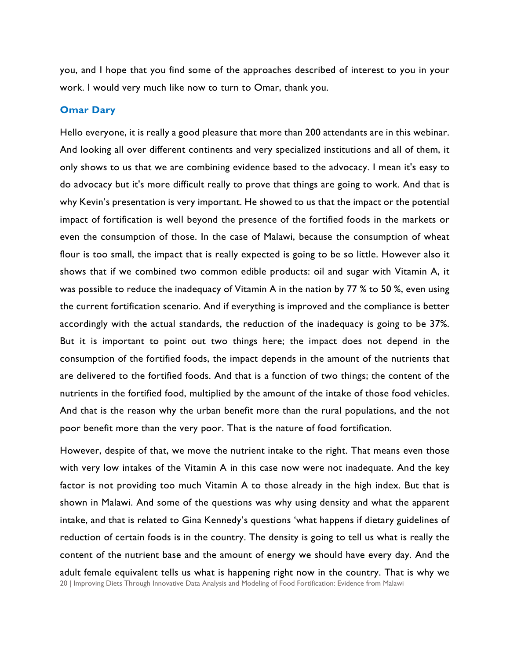you, and I hope that you find some of the approaches described of interest to you in your work. I would very much like now to turn to Omar, thank you.

#### **Omar Dary**

Hello everyone, it is really a good pleasure that more than 200 attendants are in this webinar. And looking all over different continents and very specialized institutions and all of them, it only shows to us that we are combining evidence based to the advocacy. I mean it's easy to do advocacy but it's more difficult really to prove that things are going to work. And that is why Kevin's presentation is very important. He showed to us that the impact or the potential impact of fortification is well beyond the presence of the fortified foods in the markets or even the consumption of those. In the case of Malawi, because the consumption of wheat flour is too small, the impact that is really expected is going to be so little. However also it shows that if we combined two common edible products: oil and sugar with Vitamin A, it was possible to reduce the inadequacy of Vitamin A in the nation by 77 % to 50 %, even using the current fortification scenario. And if everything is improved and the compliance is better accordingly with the actual standards, the reduction of the inadequacy is going to be 37%. But it is important to point out two things here; the impact does not depend in the consumption of the fortified foods, the impact depends in the amount of the nutrients that are delivered to the fortified foods. And that is a function of two things; the content of the nutrients in the fortified food, multiplied by the amount of the intake of those food vehicles. And that is the reason why the urban benefit more than the rural populations, and the not poor benefit more than the very poor. That is the nature of food fortification.

20 | Improving Diets Through Innovative Data Analysis and Modeling of Food Fortification: Evidence from Malawi However, despite of that, we move the nutrient intake to the right. That means even those with very low intakes of the Vitamin A in this case now were not inadequate. And the key factor is not providing too much Vitamin A to those already in the high index. But that is shown in Malawi. And some of the questions was why using density and what the apparent intake, and that is related to Gina Kennedy's questions 'what happens if dietary guidelines of reduction of certain foods is in the country. The density is going to tell us what is really the content of the nutrient base and the amount of energy we should have every day. And the adult female equivalent tells us what is happening right now in the country. That is why we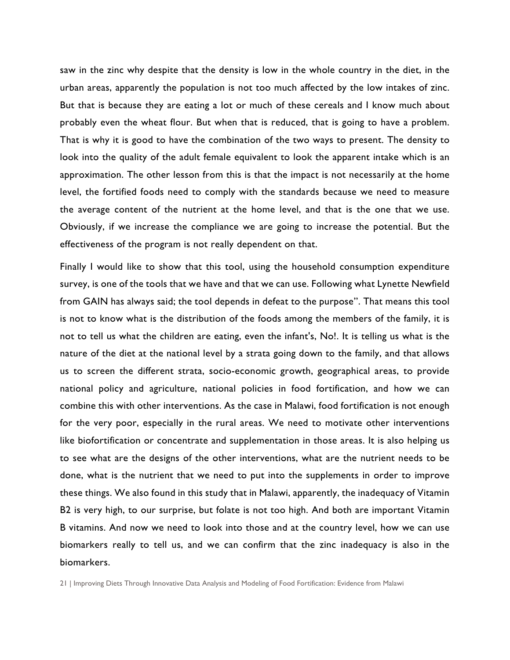saw in the zinc why despite that the density is low in the whole country in the diet, in the urban areas, apparently the population is not too much affected by the low intakes of zinc. But that is because they are eating a lot or much of these cereals and I know much about probably even the wheat flour. But when that is reduced, that is going to have a problem. That is why it is good to have the combination of the two ways to present. The density to look into the quality of the adult female equivalent to look the apparent intake which is an approximation. The other lesson from this is that the impact is not necessarily at the home level, the fortified foods need to comply with the standards because we need to measure the average content of the nutrient at the home level, and that is the one that we use. Obviously, if we increase the compliance we are going to increase the potential. But the effectiveness of the program is not really dependent on that.

Finally I would like to show that this tool, using the household consumption expenditure survey, is one of the tools that we have and that we can use. Following what Lynette Newfield from GAIN has always said; the tool depends in defeat to the purpose". That means this tool is not to know what is the distribution of the foods among the members of the family, it is not to tell us what the children are eating, even the infant's, No!. It is telling us what is the nature of the diet at the national level by a strata going down to the family, and that allows us to screen the different strata, socio-economic growth, geographical areas, to provide national policy and agriculture, national policies in food fortification, and how we can combine this with other interventions. As the case in Malawi, food fortification is not enough for the very poor, especially in the rural areas. We need to motivate other interventions like biofortification or concentrate and supplementation in those areas. It is also helping us to see what are the designs of the other interventions, what are the nutrient needs to be done, what is the nutrient that we need to put into the supplements in order to improve these things. We also found in this study that in Malawi, apparently, the inadequacy of Vitamin B2 is very high, to our surprise, but folate is not too high. And both are important Vitamin B vitamins. And now we need to look into those and at the country level, how we can use biomarkers really to tell us, and we can confirm that the zinc inadequacy is also in the biomarkers.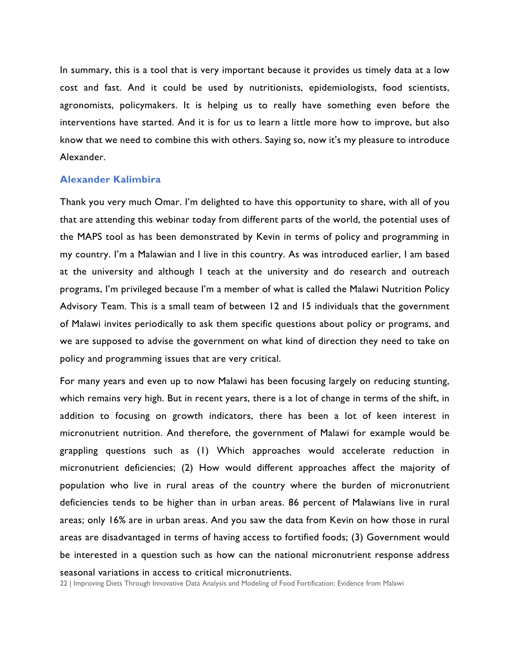In summary, this is a tool that is very important because it provides us timely data at a low cost and fast. And it could be used by nutritionists, epidemiologists, food scientists, agronomists, policymakers. It is helping us to really have something even before the interventions have started. And it is for us to learn a little more how to improve, but also know that we need to combine this with others. Saying so, now it's my pleasure to introduce Alexander.

# **Alexander Kalimbira**

Thank you very much Omar. I'm delighted to have this opportunity to share, with all of you that are attending this webinar today from different parts of the world, the potential uses of the MAPS tool as has been demonstrated by Kevin in terms of policy and programming in my country. I'm a Malawian and I live in this country. As was introduced earlier, I am based at the university and although I teach at the university and do research and outreach programs, I'm privileged because I'm a member of what is called the Malawi Nutrition Policy Advisory Team. This is a small team of between 12 and 15 individuals that the government of Malawi invites periodically to ask them specific questions about policy or programs, and we are supposed to advise the government on what kind of direction they need to take on policy and programming issues that are very critical.

For many years and even up to now Malawi has been focusing largely on reducing stunting, which remains very high. But in recent years, there is a lot of change in terms of the shift, in addition to focusing on growth indicators, there has been a lot of keen interest in micronutrient nutrition. And therefore, the government of Malawi for example would be grappling questions such as (1) Which approaches would accelerate reduction in micronutrient deficiencies; (2) How would different approaches affect the majority of population who live in rural areas of the country where the burden of micronutrient deficiencies tends to be higher than in urban areas. 86 percent of Malawians live in rural areas; only 16% are in urban areas. And you saw the data from Kevin on how those in rural areas are disadvantaged in terms of having access to fortified foods; (3) Government would be interested in a question such as how can the national micronutrient response address seasonal variations in access to critical micronutrients.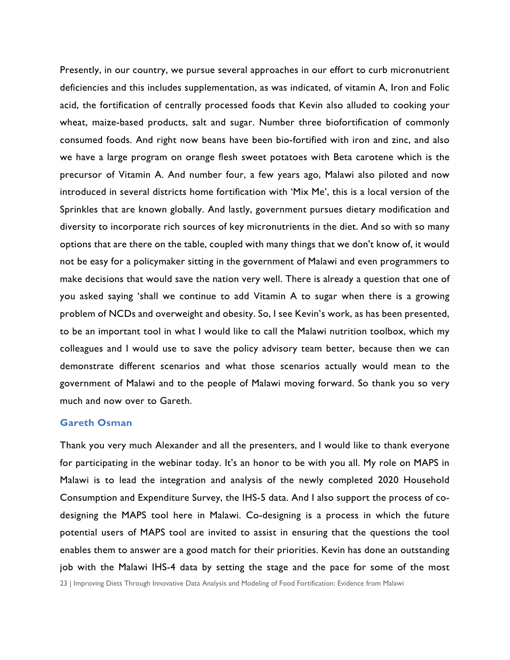Presently, in our country, we pursue several approaches in our effort to curb micronutrient deficiencies and this includes supplementation, as was indicated, of vitamin A, Iron and Folic acid, the fortification of centrally processed foods that Kevin also alluded to cooking your wheat, maize-based products, salt and sugar. Number three biofortification of commonly consumed foods. And right now beans have been bio-fortified with iron and zinc, and also we have a large program on orange flesh sweet potatoes with Beta carotene which is the precursor of Vitamin A. And number four, a few years ago, Malawi also piloted and now introduced in several districts home fortification with 'Mix Me', this is a local version of the Sprinkles that are known globally. And lastly, government pursues dietary modification and diversity to incorporate rich sources of key micronutrients in the diet. And so with so many options that are there on the table, coupled with many things that we don't know of, it would not be easy for a policymaker sitting in the government of Malawi and even programmers to make decisions that would save the nation very well. There is already a question that one of you asked saying 'shall we continue to add Vitamin A to sugar when there is a growing problem of NCDs and overweight and obesity. So, I see Kevin's work, as has been presented, to be an important tool in what I would like to call the Malawi nutrition toolbox, which my colleagues and I would use to save the policy advisory team better, because then we can demonstrate different scenarios and what those scenarios actually would mean to the government of Malawi and to the people of Malawi moving forward. So thank you so very much and now over to Gareth.

#### **Gareth Osman**

Thank you very much Alexander and all the presenters, and I would like to thank everyone for participating in the webinar today. It's an honor to be with you all. My role on MAPS in Malawi is to lead the integration and analysis of the newly completed 2020 Household Consumption and Expenditure Survey, the IHS-5 data. And I also support the process of codesigning the MAPS tool here in Malawi. Co-designing is a process in which the future potential users of MAPS tool are invited to assist in ensuring that the questions the tool enables them to answer are a good match for their priorities. Kevin has done an outstanding job with the Malawi IHS-4 data by setting the stage and the pace for some of the most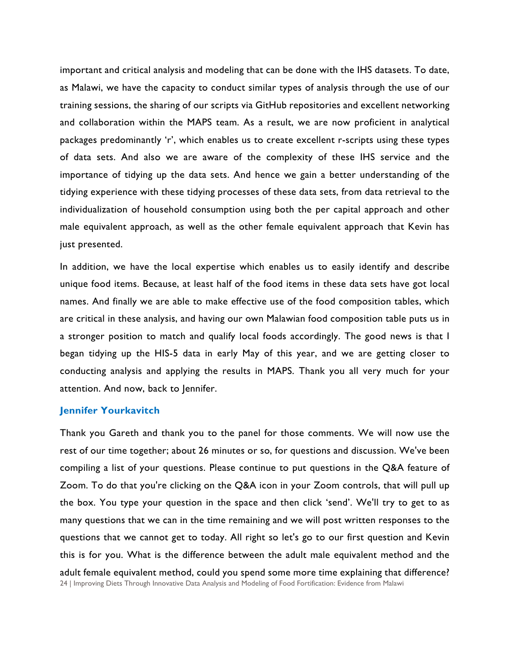important and critical analysis and modeling that can be done with the IHS datasets. To date, as Malawi, we have the capacity to conduct similar types of analysis through the use of our training sessions, the sharing of our scripts via GitHub repositories and excellent networking and collaboration within the MAPS team. As a result, we are now proficient in analytical packages predominantly 'r', which enables us to create excellent r-scripts using these types of data sets. And also we are aware of the complexity of these IHS service and the importance of tidying up the data sets. And hence we gain a better understanding of the tidying experience with these tidying processes of these data sets, from data retrieval to the individualization of household consumption using both the per capital approach and other male equivalent approach, as well as the other female equivalent approach that Kevin has just presented.

In addition, we have the local expertise which enables us to easily identify and describe unique food items. Because, at least half of the food items in these data sets have got local names. And finally we are able to make effective use of the food composition tables, which are critical in these analysis, and having our own Malawian food composition table puts us in a stronger position to match and qualify local foods accordingly. The good news is that I began tidying up the HIS-5 data in early May of this year, and we are getting closer to conducting analysis and applying the results in MAPS. Thank you all very much for your attention. And now, back to Jennifer.

### **Jennifer Yourkavitch**

24 | Improving Diets Through Innovative Data Analysis and Modeling of Food Fortification: Evidence from Malawi Thank you Gareth and thank you to the panel for those comments. We will now use the rest of our time together; about 26 minutes or so, for questions and discussion. We've been compiling a list of your questions. Please continue to put questions in the Q&A feature of Zoom. To do that you're clicking on the Q&A icon in your Zoom controls, that will pull up the box. You type your question in the space and then click 'send'. We'll try to get to as many questions that we can in the time remaining and we will post written responses to the questions that we cannot get to today. All right so let's go to our first question and Kevin this is for you. What is the difference between the adult male equivalent method and the adult female equivalent method, could you spend some more time explaining that difference?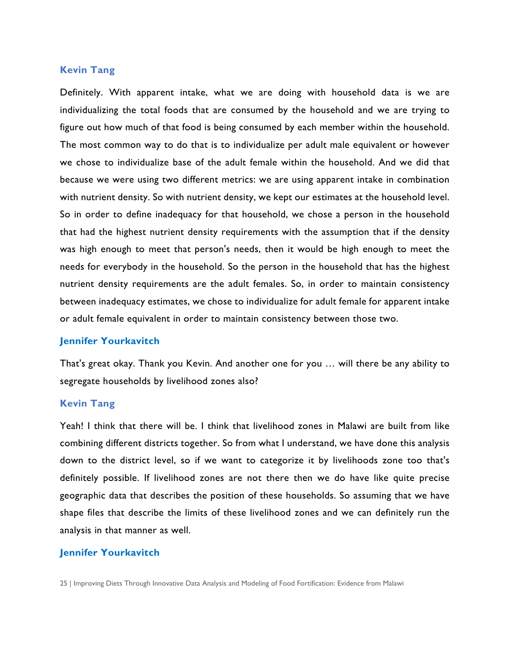# **Kevin Tang**

Definitely. With apparent intake, what we are doing with household data is we are individualizing the total foods that are consumed by the household and we are trying to figure out how much of that food is being consumed by each member within the household. The most common way to do that is to individualize per adult male equivalent or however we chose to individualize base of the adult female within the household. And we did that because we were using two different metrics: we are using apparent intake in combination with nutrient density. So with nutrient density, we kept our estimates at the household level. So in order to define inadequacy for that household, we chose a person in the household that had the highest nutrient density requirements with the assumption that if the density was high enough to meet that person's needs, then it would be high enough to meet the needs for everybody in the household. So the person in the household that has the highest nutrient density requirements are the adult females. So, in order to maintain consistency between inadequacy estimates, we chose to individualize for adult female for apparent intake or adult female equivalent in order to maintain consistency between those two.

#### **Jennifer Yourkavitch**

That's great okay. Thank you Kevin. And another one for you … will there be any ability to segregate households by livelihood zones also?

#### **Kevin Tang**

Yeah! I think that there will be. I think that livelihood zones in Malawi are built from like combining different districts together. So from what I understand, we have done this analysis down to the district level, so if we want to categorize it by livelihoods zone too that's definitely possible. If livelihood zones are not there then we do have like quite precise geographic data that describes the position of these households. So assuming that we have shape files that describe the limits of these livelihood zones and we can definitely run the analysis in that manner as well.

#### **Jennifer Yourkavitch**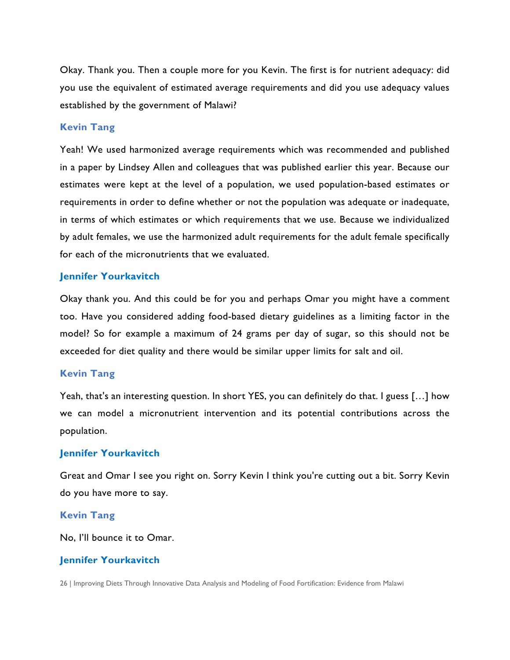Okay. Thank you. Then a couple more for you Kevin. The first is for nutrient adequacy: did you use the equivalent of estimated average requirements and did you use adequacy values established by the government of Malawi?

# **Kevin Tang**

Yeah! We used harmonized average requirements which was recommended and published in a paper by Lindsey Allen and colleagues that was published earlier this year. Because our estimates were kept at the level of a population, we used population-based estimates or requirements in order to define whether or not the population was adequate or inadequate, in terms of which estimates or which requirements that we use. Because we individualized by adult females, we use the harmonized adult requirements for the adult female specifically for each of the micronutrients that we evaluated.

# **Jennifer Yourkavitch**

Okay thank you. And this could be for you and perhaps Omar you might have a comment too. Have you considered adding food-based dietary guidelines as a limiting factor in the model? So for example a maximum of 24 grams per day of sugar, so this should not be exceeded for diet quality and there would be similar upper limits for salt and oil.

#### **Kevin Tang**

Yeah, that's an interesting question. In short YES, you can definitely do that. I guess […] how we can model a micronutrient intervention and its potential contributions across the population.

# **Jennifer Yourkavitch**

Great and Omar I see you right on. Sorry Kevin I think you're cutting out a bit. Sorry Kevin do you have more to say.

# **Kevin Tang**

No, I'll bounce it to Omar.

# **Jennifer Yourkavitch**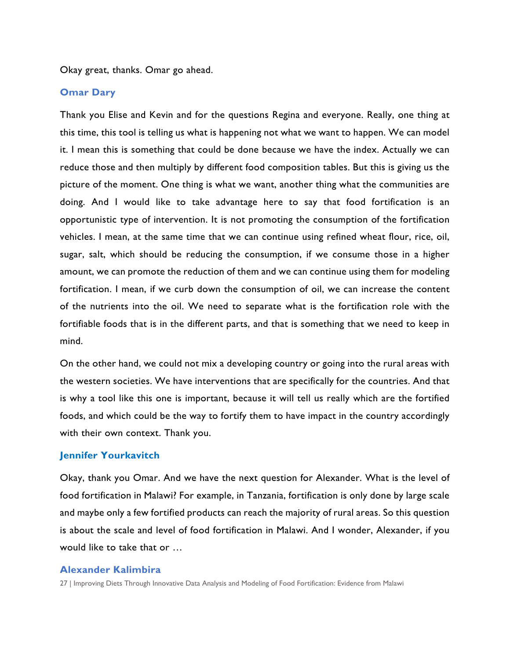Okay great, thanks. Omar go ahead.

# **Omar Dary**

Thank you Elise and Kevin and for the questions Regina and everyone. Really, one thing at this time, this tool is telling us what is happening not what we want to happen. We can model it. I mean this is something that could be done because we have the index. Actually we can reduce those and then multiply by different food composition tables. But this is giving us the picture of the moment. One thing is what we want, another thing what the communities are doing. And I would like to take advantage here to say that food fortification is an opportunistic type of intervention. It is not promoting the consumption of the fortification vehicles. I mean, at the same time that we can continue using refined wheat flour, rice, oil, sugar, salt, which should be reducing the consumption, if we consume those in a higher amount, we can promote the reduction of them and we can continue using them for modeling fortification. I mean, if we curb down the consumption of oil, we can increase the content of the nutrients into the oil. We need to separate what is the fortification role with the fortifiable foods that is in the different parts, and that is something that we need to keep in mind.

On the other hand, we could not mix a developing country or going into the rural areas with the western societies. We have interventions that are specifically for the countries. And that is why a tool like this one is important, because it will tell us really which are the fortified foods, and which could be the way to fortify them to have impact in the country accordingly with their own context. Thank you.

# **Jennifer Yourkavitch**

Okay, thank you Omar. And we have the next question for Alexander. What is the level of food fortification in Malawi? For example, in Tanzania, fortification is only done by large scale and maybe only a few fortified products can reach the majority of rural areas. So this question is about the scale and level of food fortification in Malawi. And I wonder, Alexander, if you would like to take that or …

# **Alexander Kalimbira**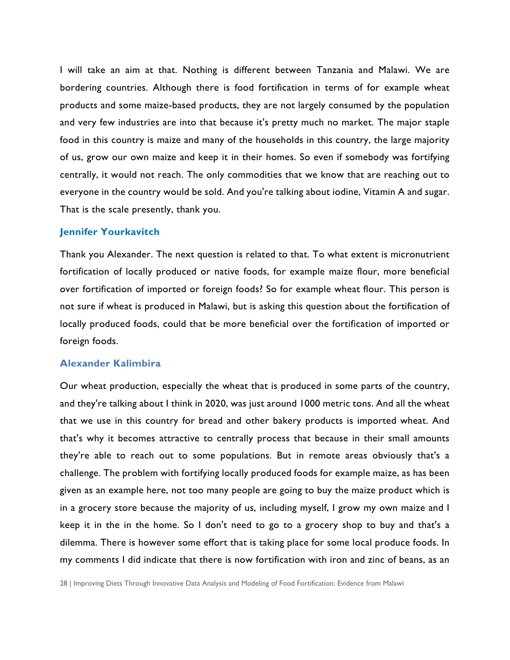I will take an aim at that. Nothing is different between Tanzania and Malawi. We are bordering countries. Although there is food fortification in terms of for example wheat products and some maize-based products, they are not largely consumed by the population and very few industries are into that because it's pretty much no market. The major staple food in this country is maize and many of the households in this country, the large majority of us, grow our own maize and keep it in their homes. So even if somebody was fortifying centrally, it would not reach. The only commodities that we know that are reaching out to everyone in the country would be sold. And you're talking about iodine, Vitamin A and sugar. That is the scale presently, thank you.

# **Jennifer Yourkavitch**

Thank you Alexander. The next question is related to that. To what extent is micronutrient fortification of locally produced or native foods, for example maize flour, more beneficial over fortification of imported or foreign foods? So for example wheat flour. This person is not sure if wheat is produced in Malawi, but is asking this question about the fortification of locally produced foods, could that be more beneficial over the fortification of imported or foreign foods.

# **Alexander Kalimbira**

Our wheat production, especially the wheat that is produced in some parts of the country, and they're talking about I think in 2020, was just around 1000 metric tons. And all the wheat that we use in this country for bread and other bakery products is imported wheat. And that's why it becomes attractive to centrally process that because in their small amounts they're able to reach out to some populations. But in remote areas obviously that's a challenge. The problem with fortifying locally produced foods for example maize, as has been given as an example here, not too many people are going to buy the maize product which is in a grocery store because the majority of us, including myself, I grow my own maize and I keep it in the in the home. So I don't need to go to a grocery shop to buy and that's a dilemma. There is however some effort that is taking place for some local produce foods. In my comments I did indicate that there is now fortification with iron and zinc of beans, as an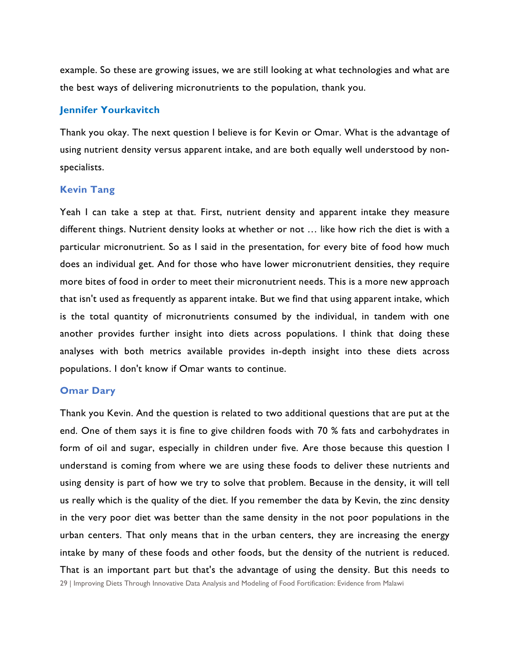example. So these are growing issues, we are still looking at what technologies and what are the best ways of delivering micronutrients to the population, thank you.

# **Jennifer Yourkavitch**

Thank you okay. The next question I believe is for Kevin or Omar. What is the advantage of using nutrient density versus apparent intake, and are both equally well understood by nonspecialists.

# **Kevin Tang**

Yeah I can take a step at that. First, nutrient density and apparent intake they measure different things. Nutrient density looks at whether or not … like how rich the diet is with a particular micronutrient. So as I said in the presentation, for every bite of food how much does an individual get. And for those who have lower micronutrient densities, they require more bites of food in order to meet their micronutrient needs. This is a more new approach that isn't used as frequently as apparent intake. But we find that using apparent intake, which is the total quantity of micronutrients consumed by the individual, in tandem with one another provides further insight into diets across populations. I think that doing these analyses with both metrics available provides in-depth insight into these diets across populations. I don't know if Omar wants to continue.

#### **Omar Dary**

29 | Improving Diets Through Innovative Data Analysis and Modeling of Food Fortification: Evidence from Malawi Thank you Kevin. And the question is related to two additional questions that are put at the end. One of them says it is fine to give children foods with 70 % fats and carbohydrates in form of oil and sugar, especially in children under five. Are those because this question I understand is coming from where we are using these foods to deliver these nutrients and using density is part of how we try to solve that problem. Because in the density, it will tell us really which is the quality of the diet. If you remember the data by Kevin, the zinc density in the very poor diet was better than the same density in the not poor populations in the urban centers. That only means that in the urban centers, they are increasing the energy intake by many of these foods and other foods, but the density of the nutrient is reduced. That is an important part but that's the advantage of using the density. But this needs to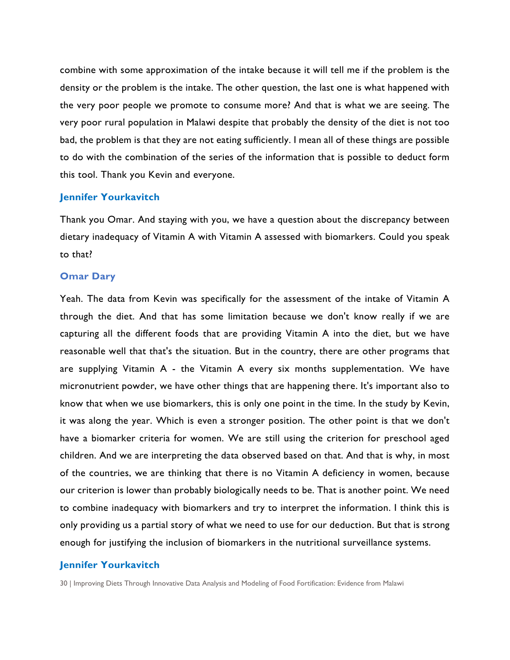combine with some approximation of the intake because it will tell me if the problem is the density or the problem is the intake. The other question, the last one is what happened with the very poor people we promote to consume more? And that is what we are seeing. The very poor rural population in Malawi despite that probably the density of the diet is not too bad, the problem is that they are not eating sufficiently. I mean all of these things are possible to do with the combination of the series of the information that is possible to deduct form this tool. Thank you Kevin and everyone.

# **Jennifer Yourkavitch**

Thank you Omar. And staying with you, we have a question about the discrepancy between dietary inadequacy of Vitamin A with Vitamin A assessed with biomarkers. Could you speak to that?

# **Omar Dary**

Yeah. The data from Kevin was specifically for the assessment of the intake of Vitamin A through the diet. And that has some limitation because we don't know really if we are capturing all the different foods that are providing Vitamin A into the diet, but we have reasonable well that that's the situation. But in the country, there are other programs that are supplying Vitamin A - the Vitamin A every six months supplementation. We have micronutrient powder, we have other things that are happening there. It's important also to know that when we use biomarkers, this is only one point in the time. In the study by Kevin, it was along the year. Which is even a stronger position. The other point is that we don't have a biomarker criteria for women. We are still using the criterion for preschool aged children. And we are interpreting the data observed based on that. And that is why, in most of the countries, we are thinking that there is no Vitamin A deficiency in women, because our criterion is lower than probably biologically needs to be. That is another point. We need to combine inadequacy with biomarkers and try to interpret the information. I think this is only providing us a partial story of what we need to use for our deduction. But that is strong enough for justifying the inclusion of biomarkers in the nutritional surveillance systems.

# **Jennifer Yourkavitch**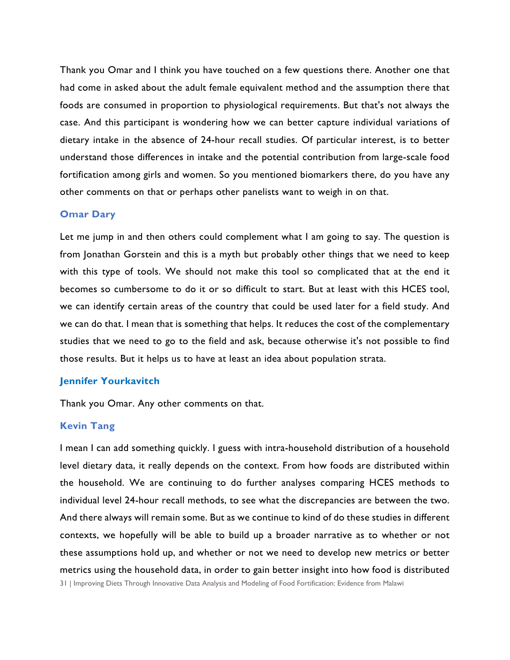Thank you Omar and I think you have touched on a few questions there. Another one that had come in asked about the adult female equivalent method and the assumption there that foods are consumed in proportion to physiological requirements. But that's not always the case. And this participant is wondering how we can better capture individual variations of dietary intake in the absence of 24-hour recall studies. Of particular interest, is to better understand those differences in intake and the potential contribution from large-scale food fortification among girls and women. So you mentioned biomarkers there, do you have any other comments on that or perhaps other panelists want to weigh in on that.

# **Omar Dary**

Let me jump in and then others could complement what I am going to say. The question is from Jonathan Gorstein and this is a myth but probably other things that we need to keep with this type of tools. We should not make this tool so complicated that at the end it becomes so cumbersome to do it or so difficult to start. But at least with this HCES tool, we can identify certain areas of the country that could be used later for a field study. And we can do that. I mean that is something that helps. It reduces the cost of the complementary studies that we need to go to the field and ask, because otherwise it's not possible to find those results. But it helps us to have at least an idea about population strata.

# **Jennifer Yourkavitch**

Thank you Omar. Any other comments on that.

#### **Kevin Tang**

I mean I can add something quickly. I guess with intra-household distribution of a household level dietary data, it really depends on the context. From how foods are distributed within the household. We are continuing to do further analyses comparing HCES methods to individual level 24-hour recall methods, to see what the discrepancies are between the two. And there always will remain some. But as we continue to kind of do these studies in different contexts, we hopefully will be able to build up a broader narrative as to whether or not these assumptions hold up, and whether or not we need to develop new metrics or better metrics using the household data, in order to gain better insight into how food is distributed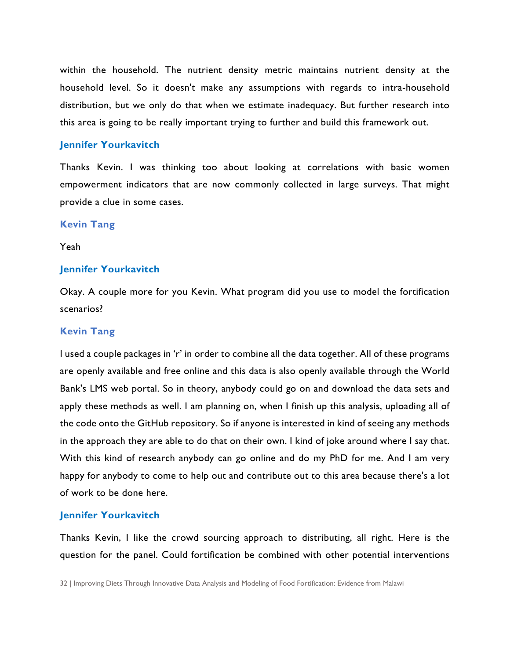within the household. The nutrient density metric maintains nutrient density at the household level. So it doesn't make any assumptions with regards to intra-household distribution, but we only do that when we estimate inadequacy. But further research into this area is going to be really important trying to further and build this framework out.

#### **Jennifer Yourkavitch**

Thanks Kevin. I was thinking too about looking at correlations with basic women empowerment indicators that are now commonly collected in large surveys. That might provide a clue in some cases.

# **Kevin Tang**

Yeah

#### **Jennifer Yourkavitch**

Okay. A couple more for you Kevin. What program did you use to model the fortification scenarios?

#### **Kevin Tang**

I used a couple packages in 'r' in order to combine all the data together. All of these programs are openly available and free online and this data is also openly available through the World Bank's LMS web portal. So in theory, anybody could go on and download the data sets and apply these methods as well. I am planning on, when I finish up this analysis, uploading all of the code onto the GitHub repository. So if anyone is interested in kind of seeing any methods in the approach they are able to do that on their own. I kind of joke around where I say that. With this kind of research anybody can go online and do my PhD for me. And I am very happy for anybody to come to help out and contribute out to this area because there's a lot of work to be done here.

#### **Jennifer Yourkavitch**

Thanks Kevin, I like the crowd sourcing approach to distributing, all right. Here is the question for the panel. Could fortification be combined with other potential interventions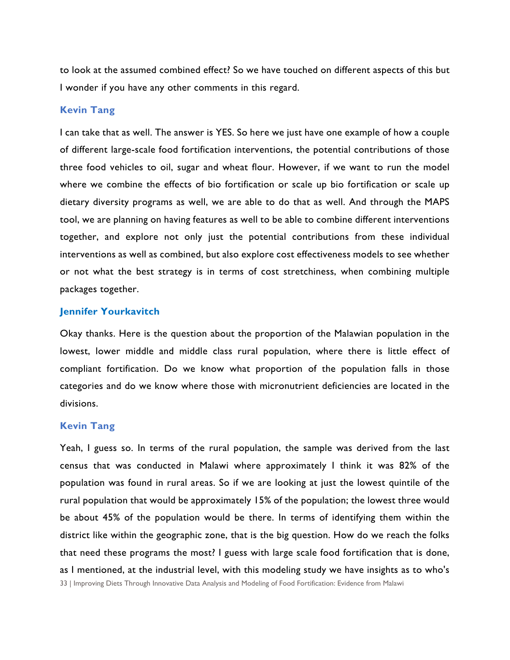to look at the assumed combined effect? So we have touched on different aspects of this but I wonder if you have any other comments in this regard.

# **Kevin Tang**

I can take that as well. The answer is YES. So here we just have one example of how a couple of different large-scale food fortification interventions, the potential contributions of those three food vehicles to oil, sugar and wheat flour. However, if we want to run the model where we combine the effects of bio fortification or scale up bio fortification or scale up dietary diversity programs as well, we are able to do that as well. And through the MAPS tool, we are planning on having features as well to be able to combine different interventions together, and explore not only just the potential contributions from these individual interventions as well as combined, but also explore cost effectiveness models to see whether or not what the best strategy is in terms of cost stretchiness, when combining multiple packages together.

# **Jennifer Yourkavitch**

Okay thanks. Here is the question about the proportion of the Malawian population in the lowest, lower middle and middle class rural population, where there is little effect of compliant fortification. Do we know what proportion of the population falls in those categories and do we know where those with micronutrient deficiencies are located in the divisions.

#### **Kevin Tang**

33 | Improving Diets Through Innovative Data Analysis and Modeling of Food Fortification: Evidence from Malawi Yeah, I guess so. In terms of the rural population, the sample was derived from the last census that was conducted in Malawi where approximately I think it was 82% of the population was found in rural areas. So if we are looking at just the lowest quintile of the rural population that would be approximately 15% of the population; the lowest three would be about 45% of the population would be there. In terms of identifying them within the district like within the geographic zone, that is the big question. How do we reach the folks that need these programs the most? I guess with large scale food fortification that is done, as I mentioned, at the industrial level, with this modeling study we have insights as to who's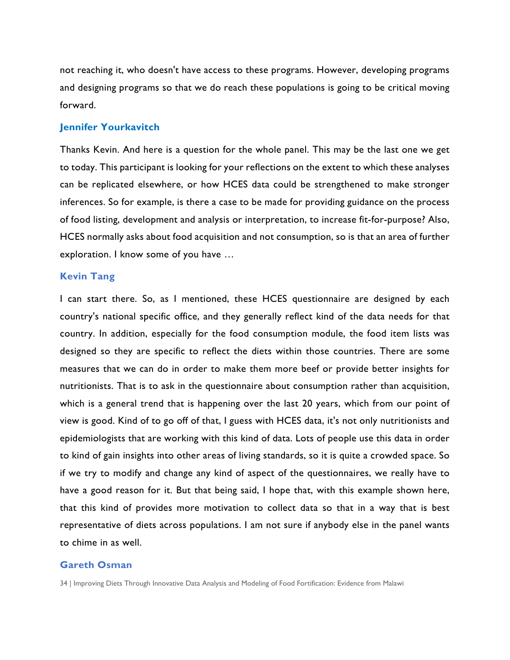not reaching it, who doesn't have access to these programs. However, developing programs and designing programs so that we do reach these populations is going to be critical moving forward.

# **Jennifer Yourkavitch**

Thanks Kevin. And here is a question for the whole panel. This may be the last one we get to today. This participant is looking for your reflections on the extent to which these analyses can be replicated elsewhere, or how HCES data could be strengthened to make stronger inferences. So for example, is there a case to be made for providing guidance on the process of food listing, development and analysis or interpretation, to increase fit-for-purpose? Also, HCES normally asks about food acquisition and not consumption, so is that an area of further exploration. I know some of you have …

# **Kevin Tang**

I can start there. So, as I mentioned, these HCES questionnaire are designed by each country's national specific office, and they generally reflect kind of the data needs for that country. In addition, especially for the food consumption module, the food item lists was designed so they are specific to reflect the diets within those countries. There are some measures that we can do in order to make them more beef or provide better insights for nutritionists. That is to ask in the questionnaire about consumption rather than acquisition, which is a general trend that is happening over the last 20 years, which from our point of view is good. Kind of to go off of that, I guess with HCES data, it's not only nutritionists and epidemiologists that are working with this kind of data. Lots of people use this data in order to kind of gain insights into other areas of living standards, so it is quite a crowded space. So if we try to modify and change any kind of aspect of the questionnaires, we really have to have a good reason for it. But that being said, I hope that, with this example shown here, that this kind of provides more motivation to collect data so that in a way that is best representative of diets across populations. I am not sure if anybody else in the panel wants to chime in as well.

# **Gareth Osman**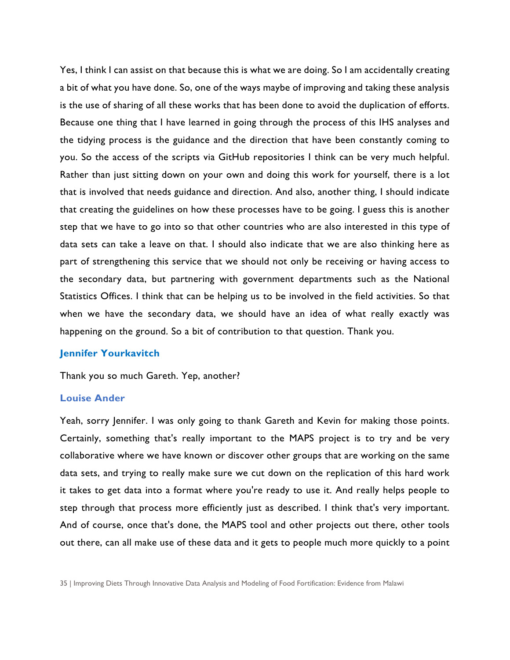Yes, I think I can assist on that because this is what we are doing. So I am accidentally creating a bit of what you have done. So, one of the ways maybe of improving and taking these analysis is the use of sharing of all these works that has been done to avoid the duplication of efforts. Because one thing that I have learned in going through the process of this IHS analyses and the tidying process is the guidance and the direction that have been constantly coming to you. So the access of the scripts via GitHub repositories I think can be very much helpful. Rather than just sitting down on your own and doing this work for yourself, there is a lot that is involved that needs guidance and direction. And also, another thing, I should indicate that creating the guidelines on how these processes have to be going. I guess this is another step that we have to go into so that other countries who are also interested in this type of data sets can take a leave on that. I should also indicate that we are also thinking here as part of strengthening this service that we should not only be receiving or having access to the secondary data, but partnering with government departments such as the National Statistics Offices. I think that can be helping us to be involved in the field activities. So that when we have the secondary data, we should have an idea of what really exactly was happening on the ground. So a bit of contribution to that question. Thank you.

#### **Jennifer Yourkavitch**

Thank you so much Gareth. Yep, another?

#### **Louise Ander**

Yeah, sorry Jennifer. I was only going to thank Gareth and Kevin for making those points. Certainly, something that's really important to the MAPS project is to try and be very collaborative where we have known or discover other groups that are working on the same data sets, and trying to really make sure we cut down on the replication of this hard work it takes to get data into a format where you're ready to use it. And really helps people to step through that process more efficiently just as described. I think that's very important. And of course, once that's done, the MAPS tool and other projects out there, other tools out there, can all make use of these data and it gets to people much more quickly to a point

<sup>35</sup> | Improving Diets Through Innovative Data Analysis and Modeling of Food Fortification: Evidence from Malawi